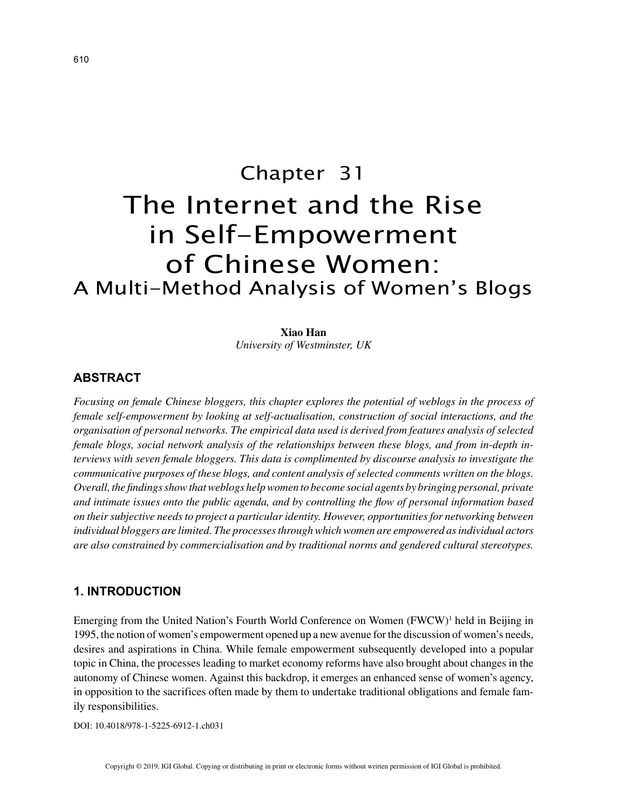# Chapter 31 The Internet and the Rise in Self-Empowerment of Chinese Women: A Multi-Method Analysis of Women's Blogs

# **Xiao Han**

*University of Westminster, UK*

## **ABSTRACT**

*Focusing on female Chinese bloggers, this chapter explores the potential of weblogs in the process of female self-empowerment by looking at self-actualisation, construction of social interactions, and the organisation of personal networks. The empirical data used is derived from features analysis of selected female blogs, social network analysis of the relationships between these blogs, and from in-depth interviews with seven female bloggers. This data is complimented by discourse analysis to investigate the communicative purposes of these blogs, and content analysis of selected comments written on the blogs. Overall, the findings show that weblogs help women to become social agents by bringing personal, private and intimate issues onto the public agenda, and by controlling the flow of personal information based on their subjective needs to project a particular identity. However, opportunities for networking between individual bloggers are limited. The processes through which women are empowered as individual actors are also constrained by commercialisation and by traditional norms and gendered cultural stereotypes.*

#### **1. INTRODUCTION**

Emerging from the United Nation's Fourth World Conference on Women (FWCW)<sup>1</sup> held in Beijing in 1995, the notion of women's empowerment opened up a new avenue for the discussion of women's needs, desires and aspirations in China. While female empowerment subsequently developed into a popular topic in China, the processes leading to market economy reforms have also brought about changes in the autonomy of Chinese women. Against this backdrop, it emerges an enhanced sense of women's agency, in opposition to the sacrifices often made by them to undertake traditional obligations and female family responsibilities.

DOI: 10.4018/978-1-5225-6912-1.ch031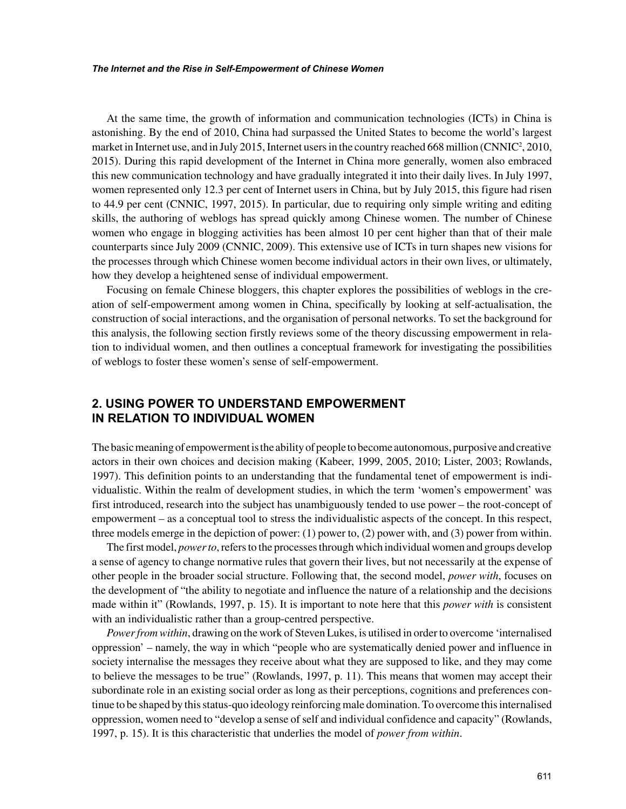At the same time, the growth of information and communication technologies (ICTs) in China is astonishing. By the end of 2010, China had surpassed the United States to become the world's largest market in Internet use, and in July 2015, Internet users in the country reached 668 million (CNNIC<sup>2</sup>, 2010, 2015). During this rapid development of the Internet in China more generally, women also embraced this new communication technology and have gradually integrated it into their daily lives. In July 1997, women represented only 12.3 per cent of Internet users in China, but by July 2015, this figure had risen to 44.9 per cent (CNNIC, 1997, 2015). In particular, due to requiring only simple writing and editing skills, the authoring of weblogs has spread quickly among Chinese women. The number of Chinese women who engage in blogging activities has been almost 10 per cent higher than that of their male counterparts since July 2009 (CNNIC, 2009). This extensive use of ICTs in turn shapes new visions for the processes through which Chinese women become individual actors in their own lives, or ultimately, how they develop a heightened sense of individual empowerment.

Focusing on female Chinese bloggers, this chapter explores the possibilities of weblogs in the creation of self-empowerment among women in China, specifically by looking at self-actualisation, the construction of social interactions, and the organisation of personal networks. To set the background for this analysis, the following section firstly reviews some of the theory discussing empowerment in relation to individual women, and then outlines a conceptual framework for investigating the possibilities of weblogs to foster these women's sense of self-empowerment.

# **2. USING POWER TO UNDERSTAND EMPOWERMENT IN RELATION TO INDIVIDUAL WOMEN**

The basic meaning of empowerment is the ability of people to become autonomous, purposive and creative actors in their own choices and decision making (Kabeer, 1999, 2005, 2010; Lister, 2003; Rowlands, 1997). This definition points to an understanding that the fundamental tenet of empowerment is individualistic. Within the realm of development studies, in which the term 'women's empowerment' was first introduced, research into the subject has unambiguously tended to use power – the root-concept of empowerment – as a conceptual tool to stress the individualistic aspects of the concept. In this respect, three models emerge in the depiction of power: (1) power to, (2) power with, and (3) power from within.

The first model, *power to*, refers to the processes through which individual women and groups develop a sense of agency to change normative rules that govern their lives, but not necessarily at the expense of other people in the broader social structure. Following that, the second model, *power with*, focuses on the development of "the ability to negotiate and influence the nature of a relationship and the decisions made within it" (Rowlands, 1997, p. 15). It is important to note here that this *power with* is consistent with an individualistic rather than a group-centred perspective.

*Power from within*, drawing on the work of Steven Lukes, is utilised in order to overcome 'internalised oppression' – namely, the way in which "people who are systematically denied power and influence in society internalise the messages they receive about what they are supposed to like, and they may come to believe the messages to be true" (Rowlands, 1997, p. 11). This means that women may accept their subordinate role in an existing social order as long as their perceptions, cognitions and preferences continue to be shaped by this status-quo ideology reinforcing male domination. To overcome this internalised oppression, women need to "develop a sense of self and individual confidence and capacity" (Rowlands, 1997, p. 15). It is this characteristic that underlies the model of *power from within*.